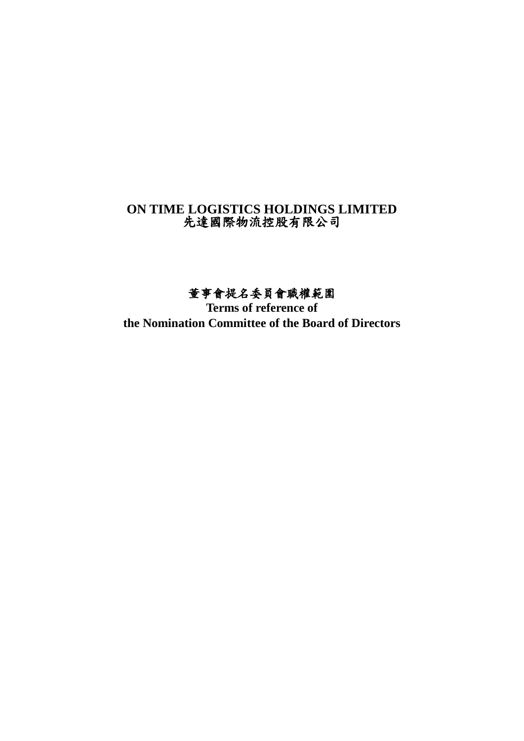# **ON TIME LOGISTICS HOLDINGS LIMITED** 先達國際物流控股有限公司

# 董事會提名委員會職權範圍

**Terms of reference of the Nomination Committee of the Board of Directors**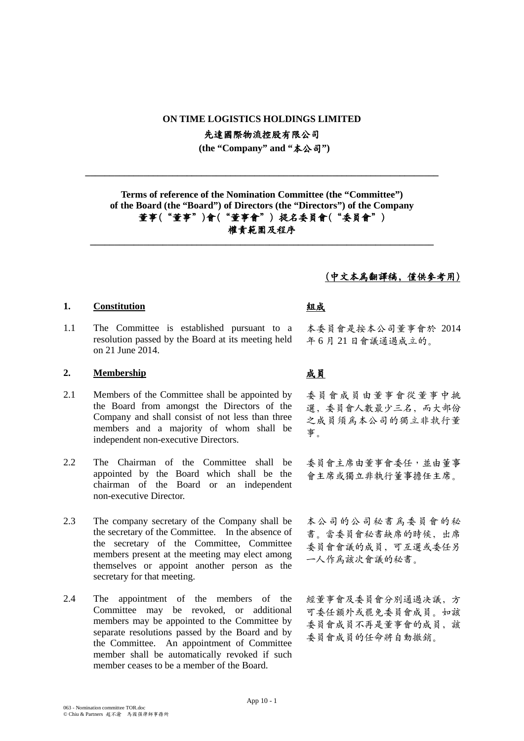### **ON TIME LOGISTICS HOLDINGS LIMITED**

先達國際物流控股有限公司

**(the "Company" and "**本公司**")**

**\_\_\_\_\_\_\_\_\_\_\_\_\_\_\_\_\_\_\_\_\_\_\_\_\_\_\_\_\_\_\_\_\_\_\_\_\_\_\_\_\_\_\_\_\_\_\_\_\_\_\_\_\_\_\_\_\_\_\_\_\_\_\_\_\_\_\_\_\_\_\_\_\_**

**Terms of reference of the Nomination Committee (the "Committee") of the Board (the "Board") of Directors (the "Directors") of the Company** 董事("董事")會("董事會") 提名委員會("委員會") 權責範圍及程序 **\_\_\_\_\_\_\_\_\_\_\_\_\_\_\_\_\_\_\_\_\_\_\_\_\_\_\_\_\_\_\_\_\_\_\_\_\_\_\_\_\_\_\_\_\_\_\_\_\_\_\_\_\_\_\_\_\_\_\_\_\_\_\_\_\_\_\_\_\_\_\_**

### 1. Constitution and all the set of the set of the set of the set of the set of the set of the set of the set of the set of the set of the set of the set of the set of the set of the set of the set of the set of the set of

1.1 The Committee is established pursuant to a resolution passed by the Board at its meeting held on 21 June 2014.

### **2. Membership** 成員

- 2.1 Members of the Committee shall be appointed by the Board from amongst the Directors of the Company and shall consist of not less than three members and a majority of whom shall be independent non-executive Directors.
- 2.2 The Chairman of the Committee shall be appointed by the Board which shall be the chairman of the Board or an independent non-executive Director.
- 2.3 The company secretary of the Company shall be the secretary of the Committee. In the absence of the secretary of the Committee, Committee members present at the meeting may elect among themselves or appoint another person as the secretary for that meeting.
- 2.4 The appointment of the members of the Committee may be revoked, or additional members may be appointed to the Committee by separate resolutions passed by the Board and by the Committee. An appointment of Committee member shall be automatically revoked if such member ceases to be a member of the Board.

### (中文本爲翻譯稿,僅供參考用)

本委員會是按本公司董事會於 2014 年 6 月 21 日會議通過成立的。

委員會成員由董事會從董事中挑 選,委員會人數最少三名,而大部份 之成員須爲本公司的獨立非執行董 事。

委員會主席由董事會委任,並由董事 會主席或獨立非執行董事擔任主席。

本公司的公司秘書爲委員會的秘 書。當委員會秘書缺席的時候,出席 委員會會議的成員,可互選或委任另 一人作爲該次會議的秘書。

經董事會及委員會分別通過决議,方 可委任額外或罷免委員會成員。如該 委員會成員不再是董事會的成員,該 委員會成員的任命將自動撤銷。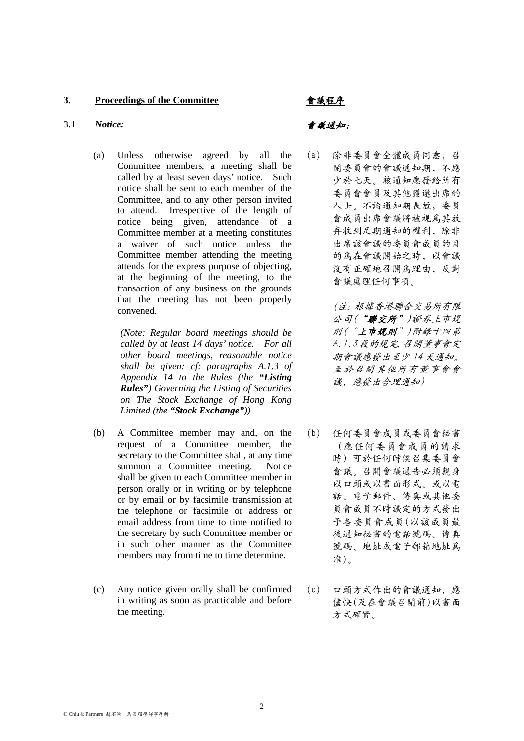### **3. Proceedings of the Committee** 會議程序

### 3.1 *Notice:* 會議通知:

(a) Unless otherwise agreed by all the Committee members, a meeting shall be called by at least seven days' notice. Such notice shall be sent to each member of the Committee, and to any other person invited to attend. Irrespective of the length of notice being given, attendance of a Committee member at a meeting constitutes a waiver of such notice unless the Committee member attending the meeting attends for the express purpose of objecting, at the beginning of the meeting, to the transaction of any business on the grounds that the meeting has not been properly convened.

> *(Note: Regular board meetings should be called by at least 14 days' notice. For all other board meetings, reasonable notice shall be given: cf: paragraphs A.1.3 of Appendix 14 to the Rules (the "Listing Rules") Governing the Listing of Securities on The Stock Exchange of Hong Kong Limited (the "Stock Exchange"))*

- (b) A Committee member may and, on the request of a Committee member, the secretary to the Committee shall, at any time summon a Committee meeting. Notice shall be given to each Committee member in person orally or in writing or by telephone or by email or by facsimile transmission at the telephone or facsimile or address or email address from time to time notified to the secretary by such Committee member or in such other manner as the Committee members may from time to time determine.
- (c) Any notice given orally shall be confirmed in writing as soon as practicable and before the meeting.

(a) 除非委員會全體成員同意,召 開委員會的會議通知期,不應 少於七天。該通知應發給所有 委員會會員及其他獲邀出席的 人士。不論通知期長短,委員 會成員出席會議將被視爲其放 弃收到足期通知的權利,除非 出席該會議的委員會成員的目 的爲在會議開始之時,以會議 沒有正確地召開爲理由,反對 會議處理任何事項。

> (注:根據香港聯合交易所有限 公司("聯交所")證券上巿規 則("上市規則")附錄十四第 A.1.3 段的規定,召開董事會定 期會議應發出至少 14 天通知。 至於召開其他所有董事會會 議,應發出合理通知)

- (b) 任何委員會成員或委員會秘書 (應任何委員會成員的請求 時)可於任何時候召集委員會 會議。召開會議通告必須親身 以口頭或以書面形式、或以電 話、電子郵件、傳真或其他委 員會成員不時議定的方式發出 予各委員會成員(以該成員最 後通知秘書的電話號碼、傳真 號碼、地址或電子郵箱地址爲 准)。
- (c) 口頭方式作出的會議通知,應 儘快(及在會議召開前)以書面 方式確實。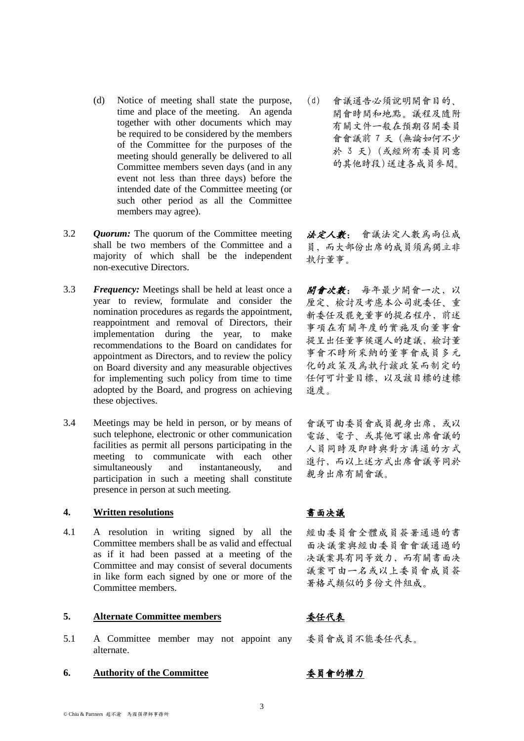non-executive Directors. 3.3 *Frequency:* Meetings shall be held at least once a year to review, formulate and consider the nomination procedures as regards the appointment, reappointment and removal of Directors, their implementation during the year, to make recommendations to the Board on candidates for

members may agree).

3.2 *Quorum:* The quorum of the Committee meeting

shall be two members of the Committee and a majority of which shall be the independent

on Board diversity and any measurable objectives for implementing such policy from time to time adopted by the Board, and progress on achieving these objectives.

appointment as Directors, and to review the policy

(d) Notice of meeting shall state the purpose, time and place of the meeting. An agenda together with other documents which may be required to be considered by the members of the Committee for the purposes of the meeting should generally be delivered to all Committee members seven days (and in any event not less than three days) before the intended date of the Committee meeting (or such other period as all the Committee

3.4 Meetings may be held in person, or by means of such telephone, electronic or other communication facilities as permit all persons participating in the meeting to communicate with each other simultaneously and instantaneously, and participation in such a meeting shall constitute presence in person at such meeting.

# **4. Written resolutions** 書面决議

4.1 A resolution in writing signed by all the Committee members shall be as valid and effectual as if it had been passed at a meeting of the Committee and may consist of several documents in like form each signed by one or more of the Committee members.

# **5. Alternate Committee members** 委任代表

- 5.1 A Committee member may not appoint any alternate.
- **6. Authority of the Committee** 委員會的權力

(d) 會議通告必須說明開會目的、 開會時間和地點。議程及隨附 有關文件一般在預期召開委員 會會議前 7 天(無論如何不少 於 3 天)(或經所有委員同意 的其他時段)送達各成員參閱。

法定人數: 會議法定人數爲兩位成 員,而大部份出席的成員須爲獨立非 執行董事。

開會次數: 每年最少開會一次,以 厘定、檢討及考慮本公司就委任、重 新委任及罷免董事的提名程序, 前述 事項在有關年度的實施及向董事會 提呈出任董事候選人的建議,檢討董 事會不時所采納的董事會成員多元 化的政策及爲執行該政策而制定的 任何可計量目標,以及該目標的達標 進度。

會議可由委員會成員親身出席,或以 電話、電子、或其他可讓出席會議的 人員同時及即時與對方溝通的方式 進行,而以上述方式出席會議等同於 親身出席有關會議。

經由委員會全體成員簽署通過的書 面决議案與經由委員會會議通過的 决議案具有同等效力,而有關書面决 議案可由一名或以上委員會成員簽 署格式類似的多份文件組成。

委員會成員不能委任代表。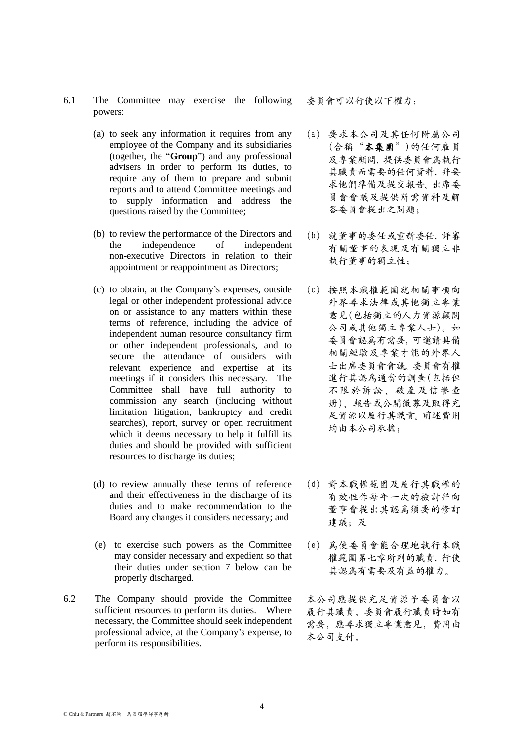© Chiu & Partners 趙不渝 馬國强律師事務所

- 6.1 The Committee may exercise the following powers:
	- (a) to seek any information it requires from any employee of the Company and its subsidiaries (together, the "**Group**") and any professional advisers in order to perform its duties, to require any of them to prepare and submit reports and to attend Committee meetings and to supply information and address the questions raised by the Committee;
	- (b) to review the performance of the Directors and the independence of independent non-executive Directors in relation to their appointment or reappointment as Directors;
	- (c) to obtain, at the Company's expenses, outside legal or other independent professional advice on or assistance to any matters within these terms of reference, including the advice of independent human resource consultancy firm or other independent professionals, and to secure the attendance of outsiders with relevant experience and expertise at its meetings if it considers this necessary. The Committee shall have full authority to commission any search (including without limitation litigation, bankruptcy and credit searches), report, survey or open recruitment which it deems necessary to help it fulfill its duties and should be provided with sufficient resources to discharge its duties;
	- (d) to review annually these terms of reference and their effectiveness in the discharge of its duties and to make recommendation to the Board any changes it considers necessary; and
	- (e) to exercise such powers as the Committee may consider necessary and expedient so that their duties under section 7 below can be properly discharged.
- 6.2 The Company should provide the Committee sufficient resources to perform its duties. Where necessary, the Committee should seek independent professional advice, at the Company's expense, to perform its responsibilities.

委員會可以行使以下權力:

- (a) 要求本公司及其任何附屬公司 (合稱"本集團")的任何雇員 及專業顧問,提供委員會爲執行 其職責而需要的任何資料,并要 求他們準備及提交報告、出席委 員會會議及提供所需資料及解 答委員會提出之問題;
- (b) 就董事的委任或重新委任,評審 有關董事的表現及有關獨立非 執行董事的獨立性;
- (c) 按照本職權範圍就相關事項向 外界尋求法律或其他獨立專業 意見(包括獨立的人力資源顧問 公司或其他獨立專業人士)。如 委員會認爲有需要,可邀請具備 相關經驗及專業才能的外界人 士出席委員會會議。委員會有權 進行其認爲適當的調查(包括但 不限於訴訟、破産及信譽查 册)、報告或公開徵募及取得充 足資源以履行其職責。前述費用 均由本公司承擔;
- (d) 對本職權範圍及履行其職權的 有效性作每年一次的檢討幷向 董事會提出其認爲須要的修訂 建議;及
- (e) 爲使委員會能合理地執行本職 權範圍第七章所列的職責,行使 其認爲有需要及有益的權力。

本公司應提供充足資源予委員會以 履行其職責。委員會履行職責時如有 需要,應尋求獨立專業意見,費用由 本公司支付。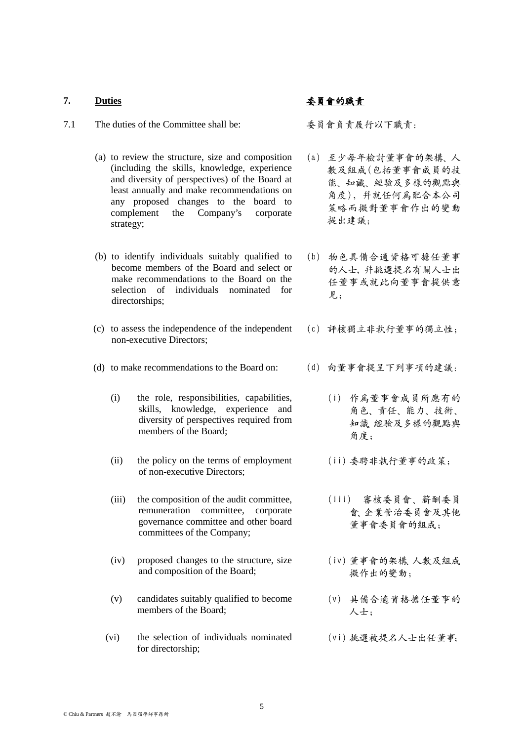### **7. Duties** 委員會的職責

- 7.1 The duties of the Committee shall be: 委員會負責履行以下職責:
	- (a) to review the structure, size and composition (including the skills, knowledge, experience and diversity of perspectives) of the Board at least annually and make recommendations on any proposed changes to the board to complement the Company's corporate strategy;
	- (b) to identify individuals suitably qualified to become members of the Board and select or make recommendations to the Board on the selection of individuals nominated for directorships;
	- (c) to assess the independence of the independent non-executive Directors;
	- (d) to make recommendations to the Board on: (d) 向董事會提呈下列事項的建議:
		- (i) the role, responsibilities, capabilities, skills, knowledge, experience and diversity of perspectives required from members of the Board:
		- (ii) the policy on the terms of employment of non-executive Directors;
		- (iii) the composition of the audit committee, remuneration committee, corporate governance committee and other board committees of the Company;
		- (iv) proposed changes to the structure, size and composition of the Board;
		- (v) candidates suitably qualified to become members of the Board;
		- (vi) the selection of individuals nominated for directorship;

- (a) 至少每年檢討董事會的架構、人 數及組成(包括董事會成員的技 能、知識、經驗及多樣的觀點與 角度), 并就任何爲配合本公司 策略而擬對董事會作出的變動 提出建議;
- (b) 物色具備合適資格可擔任董事 的人士,并挑選提名有關人士出 任董事或就此向董事會提供意 見;
- (c) 評核獨立非執行董事的獨立性;
- - (i) 作爲董事會成員所應有的 角色、責任、能力、技術、 知識、經驗及多樣的觀點與 角度;
	- (ii) 委聘非執行董事的政策;
	- (iii) 審核委員會、薪酬委員 會、企業管治委員會及其他 董事會委員會的組成;
	- (iv) 董事會的架構、人數及組成 擬作出的變動;
	- (v) 具備合適資格擔任董事的 人士;
	- (vi) 挑選被提名人士出任董事;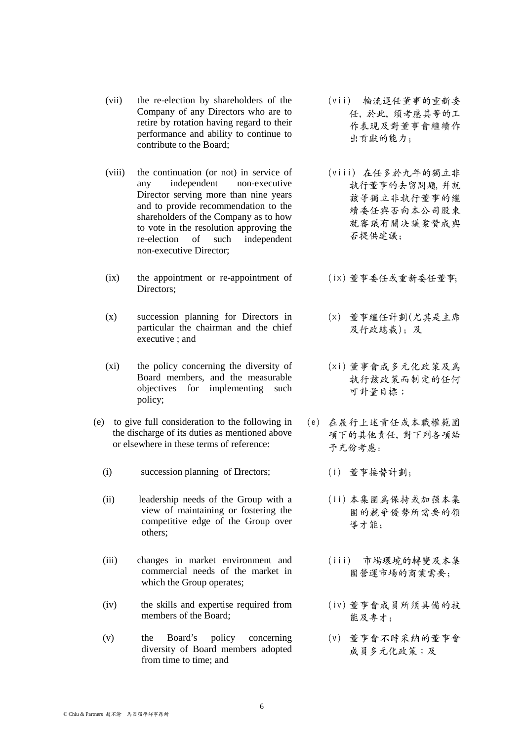- (vii) the re-election by shareholders of the Company of any Directors who are to retire by rotation having regard to their performance and ability to continue to contribute to the Board;
- (viii) the continuation (or not) in service of any independent non-executive Director serving more than nine years and to provide recommendation to the shareholders of the Company as to how to vote in the resolution approving the re-election of such independent non-executive Director;
- (ix) the appointment or re-appointment of Directors;
- (x) succession planning for Directors in particular the chairman and the chief executive ; and
- (xi) the policy concerning the diversity of Board members, and the measurable objectives for implementing such policy;
- (e) to give full consideration to the following in the discharge of its duties as mentioned above or elsewhere in these terms of reference:
	- (i) succession planning of Directors; (i) 董事接替計劃;
	- (ii) leadership needs of the Group with a view of maintaining or fostering the competitive edge of the Group over others;
	- (iii) changes in market environment and commercial needs of the market in which the Group operates;
	- (iv) the skills and expertise required from members of the Board;
	- (v) the Board's policy concerning diversity of Board members adopted from time to time; and
- (vii) 輪流退任董事的重新委 任,於此,須考慮其等的工 作表現及對董事會繼續作 出貢獻的能力;
- (viii) 在任多於九年的獨立非 執行董事的去留問題,幷就 該等獨立非執行董事的繼 續委任與否向本公司股東 就審議有關决議案贊成與 否提供建議;
- (ix) 董事委任或重新委任董事;
- (x) 董事繼任計劃(尤其是主席 及行政總裁);及
- (xi) 董事會成多元化政策及爲 執行該政策而制定的任何 可計量目標;
- (e) 在履行上述責任或本職權範圍 項下的其他責任,對下列各項給 予充份考慮:
	-
	- (ii) 本集團爲保持或加强本集 團的競爭優勢所需要的領 導才能;
	- (iii) 市場環境的轉變及本集 團營運市場的商業需要;
	- (iv) 董事會成員所須具備的技 能及專才;
	- (v) 董事會不時采納的董事會 成員多元化政策;及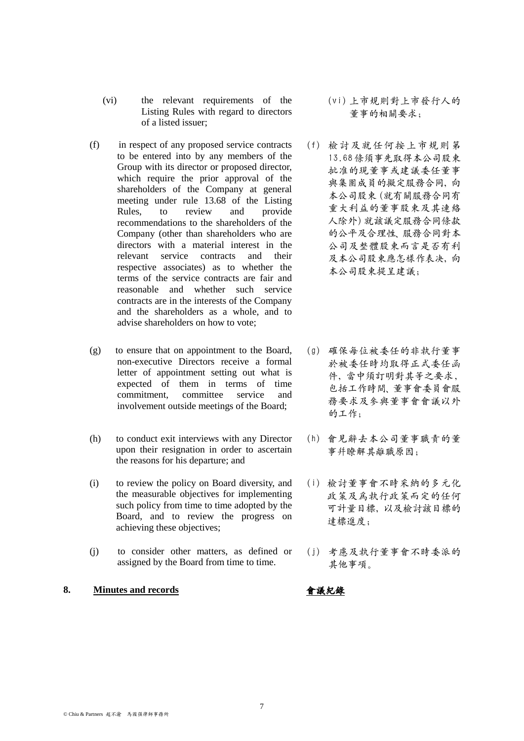- (f) in respect of any proposed service contracts to be entered into by any members of the Group with its director or proposed director, which require the prior approval of the shareholders of the Company at general meeting under rule 13.68 of the Listing Rules, to review and provide recommendations to the shareholders of the Company (other than shareholders who are directors with a material interest in the relevant service contracts and their respective associates) as to whether the terms of the service contracts are fair and reasonable and whether such service contracts are in the interests of the Company and the shareholders as a whole, and to advise shareholders on how to vote;
- (g) to ensure that on appointment to the Board, non-executive Directors receive a formal letter of appointment setting out what is expected of them in terms of time commitment, committee service and involvement outside meetings of the Board;
- (h) to conduct exit interviews with any Director upon their resignation in order to ascertain the reasons for his departure; and
- (i) to review the policy on Board diversity, and the measurable objectives for implementing such policy from time to time adopted by the Board, and to review the progress on achieving these objectives;
- (j) to consider other matters, as defined or assigned by the Board from time to time.

# **8. Minutes and records** 會議紀錄

- (vi) 上市規則對上市發行人的 董事的相關要求;
- (f) 檢討及就任何按上市規則第 13.68 條須事先取得本公司股東 批准的現董事或建議委任董事 與集團成員的擬定服務合同,向 本公司股東(就有關服務合同有 重大利益的董事股東及其連絡 人除外)就該議定服務合同條款 的公平及合理性、服務合同對本 公司及整體股東而言是否有利 及本公司股東應怎樣作表决,向 本公司股東提呈建議;
- (g) 確保每位被委任的非執行董事 於被委任時均取得正式委任函 件,當中須訂明對其等之要求, 包括工作時間、董事會委員會服 務要求及參與董事會會議以外 的工作;
- (h) 會見辭去本公司董事職責的董 事幷瞭解其離職原因;
- (i) 檢討董事會不時采納的多元化 政策及爲執行政策而定的任何 可計量目標,以及檢討該目標的 達標進度;
- (j) 考慮及執行董事會不時委派的 其他事項。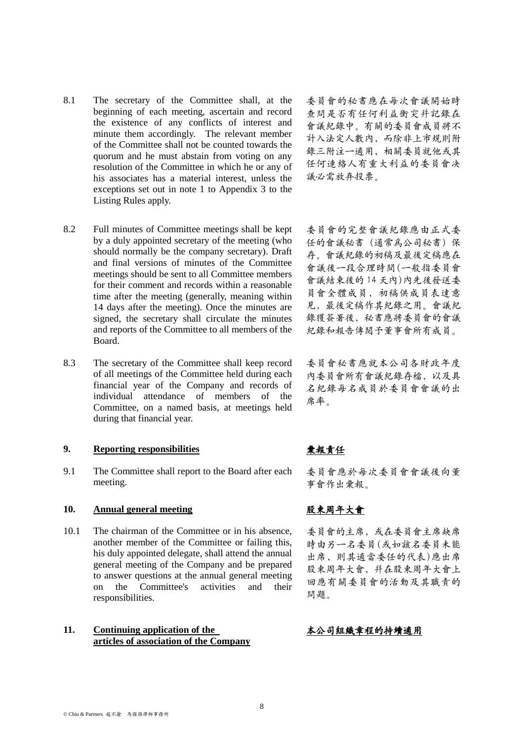- 8.1 The secretary of the Committee shall, at the beginning of each meeting, ascertain and record the existence of any conflicts of interest and minute them accordingly. The relevant member of the Committee shall not be counted towards the quorum and he must abstain from voting on any resolution of the Committee in which he or any of his associates has a material interest, unless the exceptions set out in note 1 to Appendix 3 to the Listing Rules apply.
- 8.2 Full minutes of Committee meetings shall be kept by a duly appointed secretary of the meeting (who should normally be the company secretary). Draft and final versions of minutes of the Committee meetings should be sent to all Committee members for their comment and records within a reasonable time after the meeting (generally, meaning within 14 days after the meeting). Once the minutes are signed, the secretary shall circulate the minutes and reports of the Committee to all members of the Board.
- 8.3 The secretary of the Committee shall keep record of all meetings of the Committee held during each financial year of the Company and records of individual attendance of members of the Committee, on a named basis, at meetings held during that financial year.

### **9. Reporting responsibilities** 彙報責任

9.1 The Committee shall report to the Board after each meeting.

### **10. Annual general meeting** 股東周年大會

10.1 The chairman of the Committee or in his absence, another member of the Committee or failing this, his duly appointed delegate, shall attend the annual general meeting of the Company and be prepared to answer questions at the annual general meeting on the Committee's activities and their responsibilities.

### **11. Continuing application of the articles of association of the Company**

委員會的秘書應在每次會議開始時 查問是否有任何利益衝突幷記錄在 會議紀錄中。有關的委員會成員將不 計入法定人數內,而除非上市規則附 錄三附注一適用,相關委員就他或其 任何連絡人有重大利益的委員會决 議必需放弃投票。

委員會的完整會議紀錄應由正式委 任的會議秘書(通常爲公司秘書)保 存。會議紀錄的初稿及最後定稿應在 會議後一段合理時間(一般指委員會 會議結束後的 14 天內)內先後發送委 員會全體成員,初稿供成員表達意 見,最後定稿作其紀錄之用。會議紀 錄獲簽署後,秘書應將委員會的會議 紀錄和報告傳閱予董事會所有成員。

委員會秘書應就本公司各財政年度 內委員會所有會議紀錄存檔,以及具 名紀錄每名成員於委員會會議的出 席率。

委員會應於每次委員會會議後向董 事會作出彙報。

委員會的主席,或在委員會主席缺席 時由另一名委員(或如該名委員未能 出席,則其適當委任的代表)應出席 股東周年大會上,并在股東周年大會上 回應有關委員會的活動及其職責的 問題。

# 本公司組織章程的持續適用